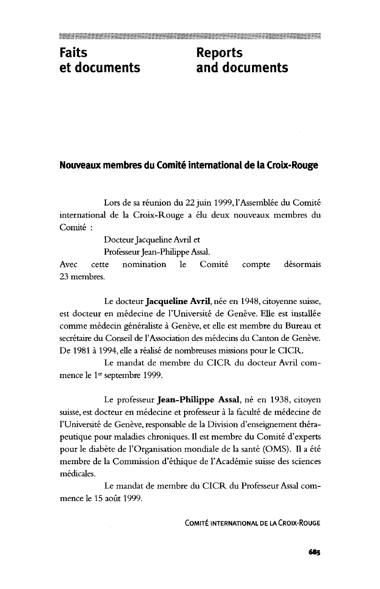## **Faits Reports**

## **et documents and documents**

## **Nouveaux membres du Comite international de la Croix-Rouge**

Lors de sa réunion du 22 juin 1999, l'Assemblée du Comité international de la Croix-Rouge a elu deux nouveaux membres du Comité :

Docteur Jacqueline Avril et

Professeur Jean-Philippe Assal.

Avec cette nomination le Comité compte désormais 23 membres.

Le docteur **Jacqueline Avril**, née en 1948, citoyenne suisse, est docteur en médecine de l'Université de Genève. Elle est installée comme médecin généraliste à Genève, et elle est membre du Bureau et secrétaire du Conseil de l'Association des médecins du Canton de Genève. De 1981 à 1994, elle a réalisé de nombreuses missions pour le CICR.

Le mandat de membre du CICR du docteur Avril commence le 1™ septembre 1999.

Le professeur Jean-Philippe Assal, né en 1938, citoyen suisse, est docteur en médecine et professeur à la faculté de médecine de l'Université de Genève, responsable de la Division d'enseignement thérapeutique pour maladies chroniques. II est membre du Comite d'experts pour le diabète de l'Organisation mondiale de la santé (OMS). Il a été membre de la Commission d'ethique de l'Academie suisse des sciences médicales.

Le mandat de membre du CICR du Professeur Assal commence le 15 août 1999.

COMITE INTERNATIONAL DE LA CROIX-ROUGE